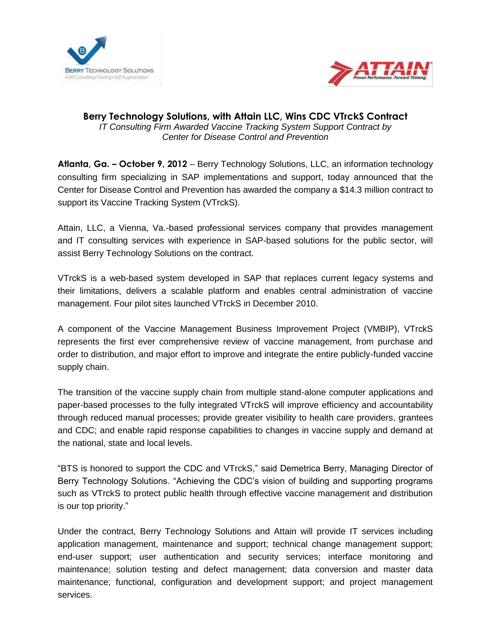



## **Berry Technology Solutions, with Attain LLC, Wins CDC VTrckS Contract** *IT Consulting Firm Awarded Vaccine Tracking System Support Contract by Center for Disease Control and Prevention*

**Atlanta, Ga. – October 9, 2012** – Berry Technology Solutions, LLC, an information technology consulting firm specializing in SAP implementations and support, today announced that the Center for Disease Control and Prevention has awarded the company a \$14.3 million contract to support its Vaccine Tracking System (VTrckS).

Attain, LLC, a Vienna, Va.-based professional services company that provides management and IT consulting services with experience in SAP-based solutions for the public sector, will assist Berry Technology Solutions on the contract.

VTrckS is a web-based system developed in SAP that replaces current legacy systems and their limitations, delivers a scalable platform and enables central administration of vaccine management. Four pilot sites launched VTrckS in December 2010.

A component of the Vaccine Management Business Improvement Project (VMBIP), VTrckS represents the first ever comprehensive review of vaccine management, from purchase and order to distribution, and major effort to improve and integrate the entire publicly-funded vaccine supply chain.

The transition of the vaccine supply chain from multiple stand-alone computer applications and paper-based processes to the fully integrated VTrckS will improve efficiency and accountability through reduced manual processes; provide greater visibility to health care providers, grantees and CDC; and enable rapid response capabilities to changes in vaccine supply and demand at the national, state and local levels.

"BTS is honored to support the CDC and VTrckS," said Demetrica Berry, Managing Director of Berry Technology Solutions. "Achieving the CDC's vision of building and supporting programs such as VTrckS to protect public health through effective vaccine management and distribution is our top priority."

Under the contract, Berry Technology Solutions and Attain will provide IT services including application management, maintenance and support; technical change management support; end-user support; user authentication and security services; interface monitoring and maintenance; solution testing and defect management; data conversion and master data maintenance; functional, configuration and development support; and project management services.